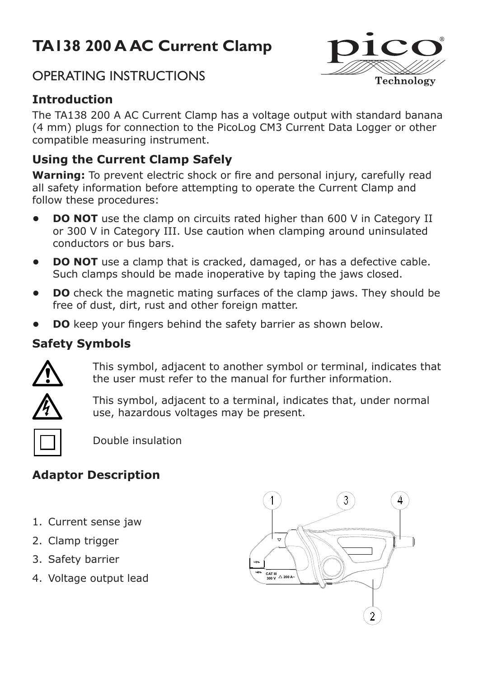# **TA138 200 A AC Current Clamp**

# OPERATING INSTRUCTIONS



Technology

The TA138 200 A AC Current Clamp has a voltage output with standard banana (4 mm) plugs for connection to the PicoLog CM3 Current Data Logger or other compatible measuring instrument.

## **Using the Current Clamp Safely**

. **Warning:** To prevent electric shock or fire and personal injury, carefully read all safety information before attempting to operate the Current Clamp and follow these procedures:

- **• DO NOT** use the clamp on circuits rated higher than 600 V in Category II or 300 V in Category III. Use caution when clamping around uninsulated conductors or bus bars.
- **DO NOT** use a clamp that is cracked, damaged, or has a defective cable. Such clamps should be made inoperative by taping the jaws closed.
- **DO** check the magnetic mating surfaces of the clamp jaws. They should be free of dust, dirt, rust and other foreign matter.
- **DO** keep your fingers behind the safety barrier as shown below.

#### **Safety Symbols**



This symbol, adjacent to another symbol or terminal, indicates that the user must refer to the manual for further information.



This symbol, adjacent to a terminal, indicates that, under normal use, hazardous voltages may be present.



Double insulation

## **Adaptor Description**

- 1. Current sense jaw
- 2. Clamp trigger
- 3. Safety barrier
- 4. Voltage output lead